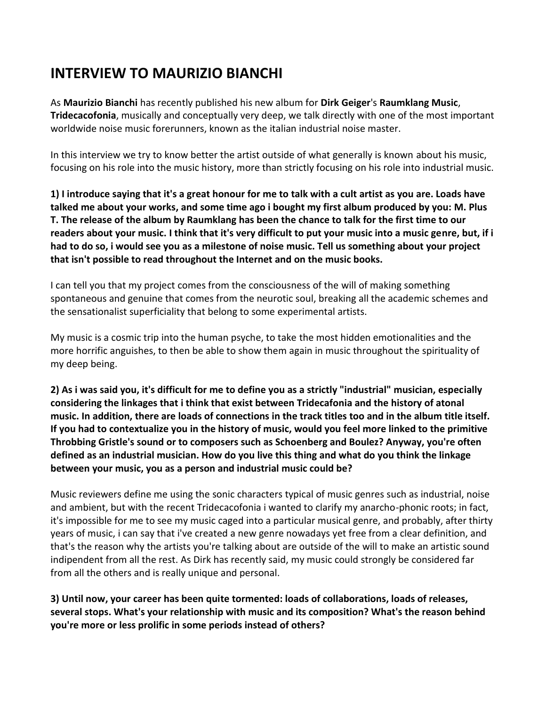# **INTERVIEW TO MAURIZIO BIANCHI**

As **Maurizio Bianchi** has recently published his new album for **Dirk Geiger**'s **Raumklang Music**, **Tridecacofonia**, musically and conceptually very deep, we talk directly with one of the most important worldwide noise music forerunners, known as the italian industrial noise master.

In this interview we try to know better the artist outside of what generally is known about his music, focusing on his role into the music history, more than strictly focusing on his role into industrial music.

**1) I introduce saying that it's a great honour for me to talk with a cult artist as you are. Loads have talked me about your works, and some time ago i bought my first album produced by you: M. Plus T. The release of the album by Raumklang has been the chance to talk for the first time to our readers about your music. I think that it's very difficult to put your music into a music genre, but, if i had to do so, i would see you as a milestone of noise music. Tell us something about your project that isn't possible to read throughout the Internet and on the music books.**

I can tell you that my project comes from the consciousness of the will of making something spontaneous and genuine that comes from the neurotic soul, breaking all the academic schemes and the sensationalist superficiality that belong to some experimental artists.

My music is a cosmic trip into the human psyche, to take the most hidden emotionalities and the more horrific anguishes, to then be able to show them again in music throughout the spirituality of my deep being.

**2) As i was said you, it's difficult for me to define you as a strictly "industrial" musician, especially considering the linkages that i think that exist between Tridecafonia and the history of atonal music. In addition, there are loads of connections in the track titles too and in the album title itself. If you had to contextualize you in the history of music, would you feel more linked to the primitive Throbbing Gristle's sound or to composers such as Schoenberg and Boulez? Anyway, you're often defined as an industrial musician. How do you live this thing and what do you think the linkage between your music, you as a person and industrial music could be?**

Music reviewers define me using the sonic characters typical of music genres such as industrial, noise and ambient, but with the recent Tridecacofonia i wanted to clarify my anarcho-phonic roots; in fact, it's impossible for me to see my music caged into a particular musical genre, and probably, after thirty years of music, i can say that i've created a new genre nowadays yet free from a clear definition, and that's the reason why the artists you're talking about are outside of the will to make an artistic sound indipendent from all the rest. As Dirk has recently said, my music could strongly be considered far from all the others and is really unique and personal.

**3) Until now, your career has been quite tormented: loads of collaborations, loads of releases, several stops. What's your relationship with music and its composition? What's the reason behind you're more or less prolific in some periods instead of others?**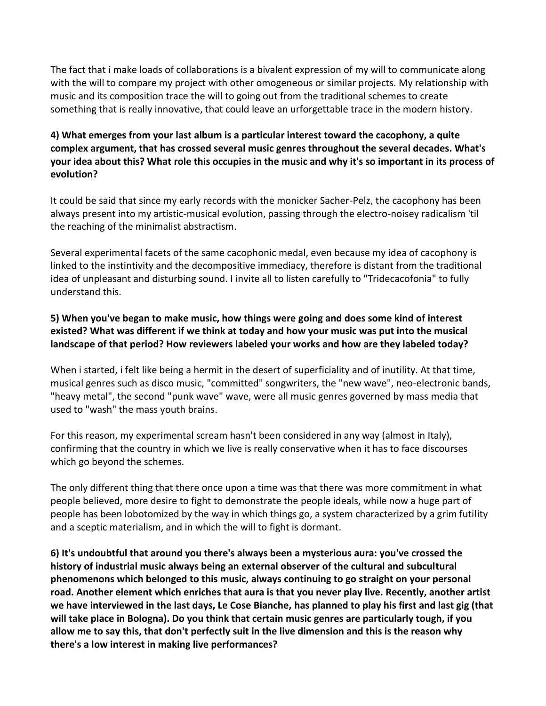The fact that i make loads of collaborations is a bivalent expression of my will to communicate along with the will to compare my project with other omogeneous or similar projects. My relationship with music and its composition trace the will to going out from the traditional schemes to create something that is really innovative, that could leave an urforgettable trace in the modern history.

### **4) What emerges from your last album is a particular interest toward the cacophony, a quite complex argument, that has crossed several music genres throughout the several decades. What's your idea about this? What role this occupies in the music and why it's so important in its process of evolution?**

It could be said that since my early records with the monicker Sacher-Pelz, the cacophony has been always present into my artistic-musical evolution, passing through the electro-noisey radicalism 'til the reaching of the minimalist abstractism.

Several experimental facets of the same cacophonic medal, even because my idea of cacophony is linked to the instintivity and the decompositive immediacy, therefore is distant from the traditional idea of unpleasant and disturbing sound. I invite all to listen carefully to "Tridecacofonia" to fully understand this.

### **5) When you've began to make music, how things were going and does some kind of interest existed? What was different if we think at today and how your music was put into the musical landscape of that period? How reviewers labeled your works and how are they labeled today?**

When i started, i felt like being a hermit in the desert of superficiality and of inutility. At that time, musical genres such as disco music, "committed" songwriters, the "new wave", neo-electronic bands, "heavy metal", the second "punk wave" wave, were all music genres governed by mass media that used to "wash" the mass youth brains.

For this reason, my experimental scream hasn't been considered in any way (almost in Italy), confirming that the country in which we live is really conservative when it has to face discourses which go beyond the schemes.

The only different thing that there once upon a time was that there was more commitment in what people believed, more desire to fight to demonstrate the people ideals, while now a huge part of people has been lobotomized by the way in which things go, a system characterized by a grim futility and a sceptic materialism, and in which the will to fight is dormant.

**6) It's undoubtful that around you there's always been a mysterious aura: you've crossed the history of industrial music always being an external observer of the cultural and subcultural phenomenons which belonged to this music, always continuing to go straight on your personal road. Another element which enriches that aura is that you never play live. Recently, another artist we have interviewed in the last days, Le Cose Bianche, has planned to play his first and last gig (that will take place in Bologna). Do you think that certain music genres are particularly tough, if you allow me to say this, that don't perfectly suit in the live dimension and this is the reason why there's a low interest in making live performances?**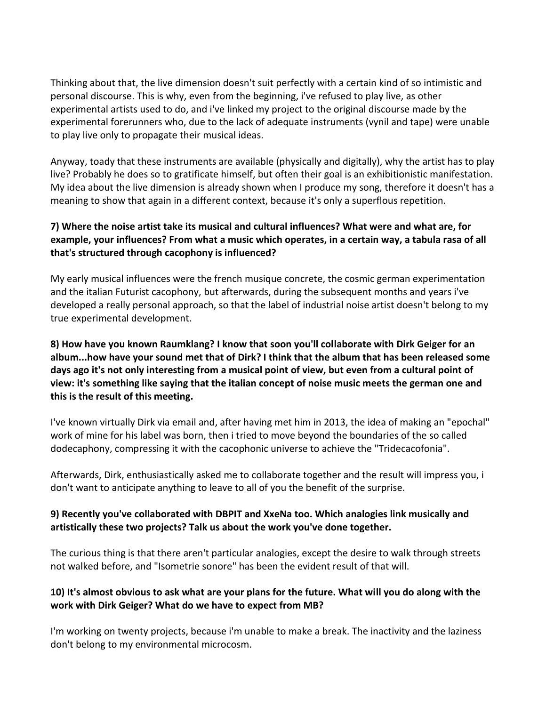Thinking about that, the live dimension doesn't suit perfectly with a certain kind of so intimistic and personal discourse. This is why, even from the beginning, i've refused to play live, as other experimental artists used to do, and i've linked my project to the original discourse made by the experimental forerunners who, due to the lack of adequate instruments (vynil and tape) were unable to play live only to propagate their musical ideas.

Anyway, toady that these instruments are available (physically and digitally), why the artist has to play live? Probably he does so to gratificate himself, but often their goal is an exhibitionistic manifestation. My idea about the live dimension is already shown when I produce my song, therefore it doesn't has a meaning to show that again in a different context, because it's only a superflous repetition.

### **7) Where the noise artist take its musical and cultural influences? What were and what are, for example, your influences? From what a music which operates, in a certain way, a tabula rasa of all that's structured through cacophony is influenced?**

My early musical influences were the french musique concrete, the cosmic german experimentation and the italian Futurist cacophony, but afterwards, during the subsequent months and years i've developed a really personal approach, so that the label of industrial noise artist doesn't belong to my true experimental development.

**8) How have you known Raumklang? I know that soon you'll collaborate with Dirk Geiger for an album...how have your sound met that of Dirk? I think that the album that has been released some days ago it's not only interesting from a musical point of view, but even from a cultural point of view: it's something like saying that the italian concept of noise music meets the german one and this is the result of this meeting.**

I've known virtually Dirk via email and, after having met him in 2013, the idea of making an "epochal" work of mine for his label was born, then i tried to move beyond the boundaries of the so called dodecaphony, compressing it with the cacophonic universe to achieve the "Tridecacofonia".

Afterwards, Dirk, enthusiastically asked me to collaborate together and the result will impress you, i don't want to anticipate anything to leave to all of you the benefit of the surprise.

#### **9) Recently you've collaborated with DBPIT and XxeNa too. Which analogies link musically and artistically these two projects? Talk us about the work you've done together.**

The curious thing is that there aren't particular analogies, except the desire to walk through streets not walked before, and "Isometrie sonore" has been the evident result of that will.

### **10) It's almost obvious to ask what are your plans for the future. What will you do along with the work with Dirk Geiger? What do we have to expect from MB?**

I'm working on twenty projects, because i'm unable to make a break. The inactivity and the laziness don't belong to my environmental microcosm.